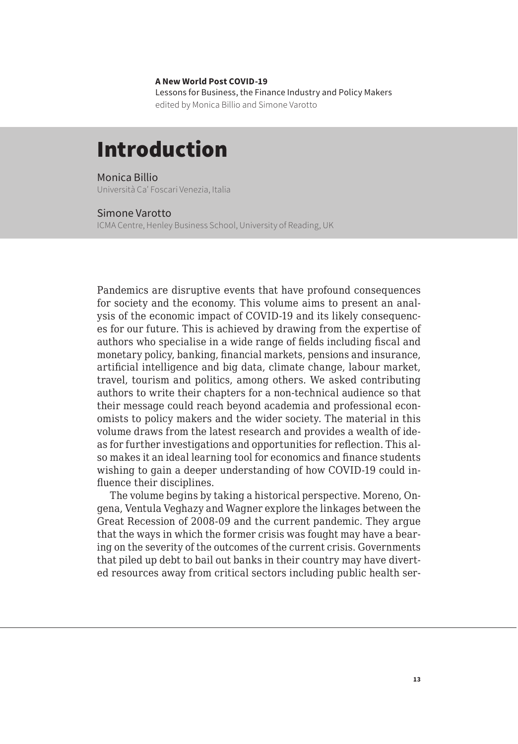**A New World Post COVID-19** Lessons for Business, the Finance Industry and Policy Makers edited by Monica Billio and Simone Varotto

## Introduction

Monica Billio Università Ca' Foscari Venezia, Italia

## Simone Varotto

ICMA Centre, Henley Business School, University of Reading, UK

Pandemics are disruptive events that have profound consequences for society and the economy. This volume aims to present an analysis of the economic impact of COVID-19 and its likely consequences for our future. This is achieved by drawing from the expertise of authors who specialise in a wide range of fields including fiscal and monetary policy, banking, financial markets, pensions and insurance, artificial intelligence and big data, climate change, labour market, travel, tourism and politics, among others. We asked contributing authors to write their chapters for a non-technical audience so that their message could reach beyond academia and professional economists to policy makers and the wider society. The material in this volume draws from the latest research and provides a wealth of ideas for further investigations and opportunities for reflection. This also makes it an ideal learning tool for economics and finance students wishing to gain a deeper understanding of how COVID-19 could influence their disciplines.

The volume begins by taking a historical perspective. Moreno, Ongena, Ventula Veghazy and Wagner explore the linkages between the Great Recession of 2008-09 and the current pandemic. They argue that the ways in which the former crisis was fought may have a bearing on the severity of the outcomes of the current crisis. Governments that piled up debt to bail out banks in their country may have diverted resources away from critical sectors including public health ser-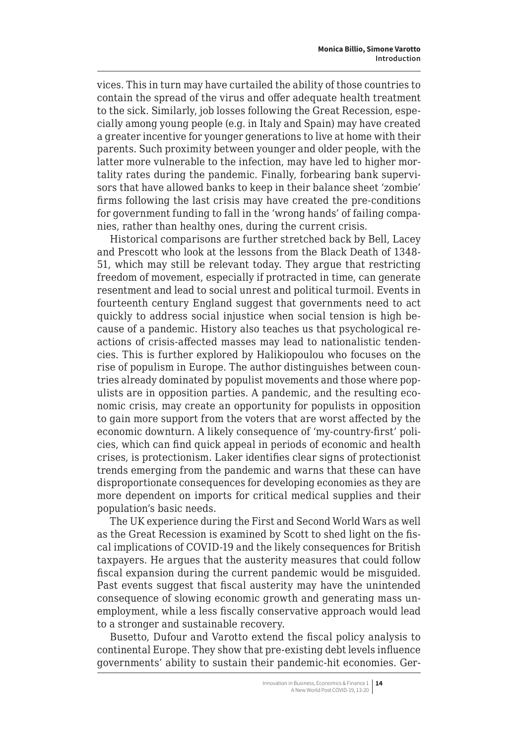vices. This in turn may have curtailed the ability of those countries to contain the spread of the virus and offer adequate health treatment to the sick. Similarly, job losses following the Great Recession, especially among young people (e.g. in Italy and Spain) may have created a greater incentive for younger generations to live at home with their parents. Such proximity between younger and older people, with the latter more vulnerable to the infection, may have led to higher mortality rates during the pandemic. Finally, forbearing bank supervisors that have allowed banks to keep in their balance sheet 'zombie' firms following the last crisis may have created the pre-conditions for government funding to fall in the 'wrong hands' of failing companies, rather than healthy ones, during the current crisis.

Historical comparisons are further stretched back by Bell, Lacey and Prescott who look at the lessons from the Black Death of 1348- 51, which may still be relevant today. They argue that restricting freedom of movement, especially if protracted in time, can generate resentment and lead to social unrest and political turmoil. Events in fourteenth century England suggest that governments need to act quickly to address social injustice when social tension is high because of a pandemic. History also teaches us that psychological reactions of crisis-affected masses may lead to nationalistic tendencies. This is further explored by Halikiopoulou who focuses on the rise of populism in Europe. The author distinguishes between countries already dominated by populist movements and those where populists are in opposition parties. A pandemic, and the resulting economic crisis, may create an opportunity for populists in opposition to gain more support from the voters that are worst affected by the economic downturn. A likely consequence of 'my-country-first' policies, which can find quick appeal in periods of economic and health crises, is protectionism. Laker identifies clear signs of protectionist trends emerging from the pandemic and warns that these can have disproportionate consequences for developing economies as they are more dependent on imports for critical medical supplies and their population's basic needs.

The UK experience during the First and Second World Wars as well as the Great Recession is examined by Scott to shed light on the fiscal implications of COVID-19 and the likely consequences for British taxpayers. He argues that the austerity measures that could follow fiscal expansion during the current pandemic would be misguided. Past events suggest that fiscal austerity may have the unintended consequence of slowing economic growth and generating mass unemployment, while a less fiscally conservative approach would lead to a stronger and sustainable recovery.

Busetto, Dufour and Varotto extend the fiscal policy analysis to continental Europe. They show that pre-existing debt levels influence governments' ability to sustain their pandemic-hit economies. Ger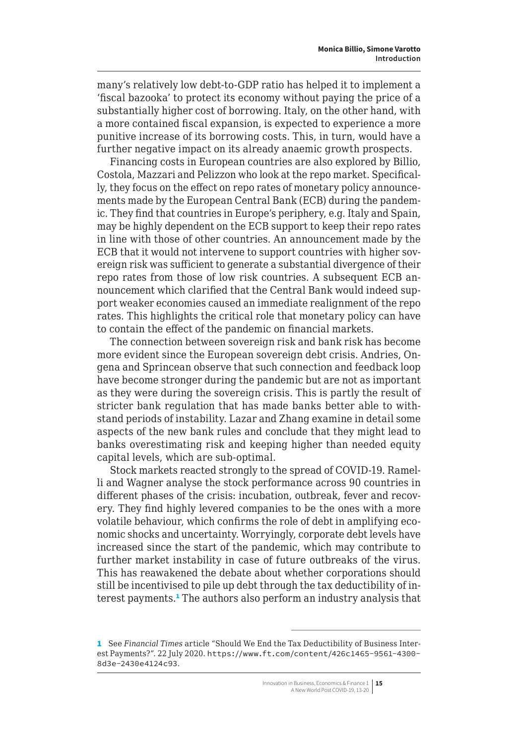many's relatively low debt-to-GDP ratio has helped it to implement a 'fiscal bazooka' to protect its economy without paying the price of a substantially higher cost of borrowing. Italy, on the other hand, with a more contained fiscal expansion, is expected to experience a more punitive increase of its borrowing costs. This, in turn, would have a further negative impact on its already anaemic growth prospects.

Financing costs in European countries are also explored by Billio, Costola, Mazzari and Pelizzon who look at the repo market. Specifically, they focus on the effect on repo rates of monetary policy announcements made by the European Central Bank (ECB) during the pandemic. They find that countries in Europe's periphery, e.g. Italy and Spain, may be highly dependent on the ECB support to keep their repo rates in line with those of other countries. An announcement made by the ECB that it would not intervene to support countries with higher sovereign risk was sufficient to generate a substantial divergence of their repo rates from those of low risk countries. A subsequent ECB announcement which clarified that the Central Bank would indeed support weaker economies caused an immediate realignment of the repo rates. This highlights the critical role that monetary policy can have to contain the effect of the pandemic on financial markets.

The connection between sovereign risk and bank risk has become more evident since the European sovereign debt crisis. Andries, Ongena and Sprincean observe that such connection and feedback loop have become stronger during the pandemic but are not as important as they were during the sovereign crisis. This is partly the result of stricter bank regulation that has made banks better able to withstand periods of instability. Lazar and Zhang examine in detail some aspects of the new bank rules and conclude that they might lead to banks overestimating risk and keeping higher than needed equity capital levels, which are sub-optimal.

Stock markets reacted strongly to the spread of COVID-19. Ramelli and Wagner analyse the stock performance across 90 countries in different phases of the crisis: incubation, outbreak, fever and recovery. They find highly levered companies to be the ones with a more volatile behaviour, which confirms the role of debt in amplifying economic shocks and uncertainty. Worryingly, corporate debt levels have increased since the start of the pandemic, which may contribute to further market instability in case of future outbreaks of the virus. This has reawakened the debate about whether corporations should still be incentivised to pile up debt through the tax deductibility of interest payments.<sup>1</sup> The authors also perform an industry analysis that

<sup>1</sup> See *Financial Times* article "Should We End the Tax Deductibility of Business Interest Payments?". 22 July 2020. [https://www.ft.com/content/426c1465-9561-4300-](https://www.ft.com/content/426c1465-9561-4300-8d3e-2430e4124c93) [8d3e-2430e4124c93](https://www.ft.com/content/426c1465-9561-4300-8d3e-2430e4124c93).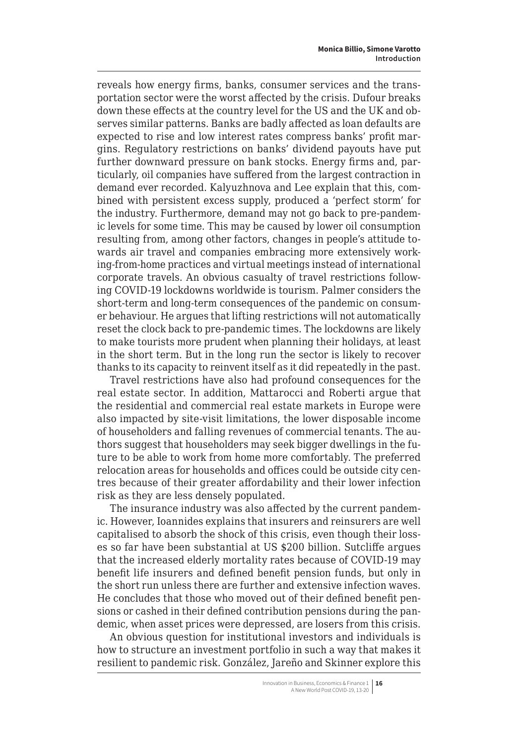reveals how energy firms, banks, consumer services and the transportation sector were the worst affected by the crisis. Dufour breaks down these effects at the country level for the US and the UK and observes similar patterns. Banks are badly affected as loan defaults are expected to rise and low interest rates compress banks' profit margins. Regulatory restrictions on banks' dividend payouts have put further downward pressure on bank stocks. Energy firms and, particularly, oil companies have suffered from the largest contraction in demand ever recorded. Kalyuzhnova and Lee explain that this, combined with persistent excess supply, produced a 'perfect storm' for the industry. Furthermore, demand may not go back to pre-pandemic levels for some time. This may be caused by lower oil consumption resulting from, among other factors, changes in people's attitude towards air travel and companies embracing more extensively working-from-home practices and virtual meetings instead of international corporate travels. An obvious casualty of travel restrictions following COVID-19 lockdowns worldwide is tourism. Palmer considers the short-term and long-term consequences of the pandemic on consumer behaviour. He argues that lifting restrictions will not automatically reset the clock back to pre-pandemic times. The lockdowns are likely to make tourists more prudent when planning their holidays, at least in the short term. But in the long run the sector is likely to recover thanks to its capacity to reinvent itself as it did repeatedly in the past.

Travel restrictions have also had profound consequences for the real estate sector. In addition, Mattarocci and Roberti argue that the residential and commercial real estate markets in Europe were also impacted by site-visit limitations, the lower disposable income of householders and falling revenues of commercial tenants. The authors suggest that householders may seek bigger dwellings in the future to be able to work from home more comfortably. The preferred relocation areas for households and offices could be outside city centres because of their greater affordability and their lower infection risk as they are less densely populated.

The insurance industry was also affected by the current pandemic. However, Ioannides explains that insurers and reinsurers are well capitalised to absorb the shock of this crisis, even though their losses so far have been substantial at US \$200 billion. Sutcliffe argues that the increased elderly mortality rates because of COVID-19 may benefit life insurers and defined benefit pension funds, but only in the short run unless there are further and extensive infection waves. He concludes that those who moved out of their defined benefit pensions or cashed in their defined contribution pensions during the pandemic, when asset prices were depressed, are losers from this crisis.

An obvious question for institutional investors and individuals is how to structure an investment portfolio in such a way that makes it resilient to pandemic risk. González, Jareño and Skinner explore this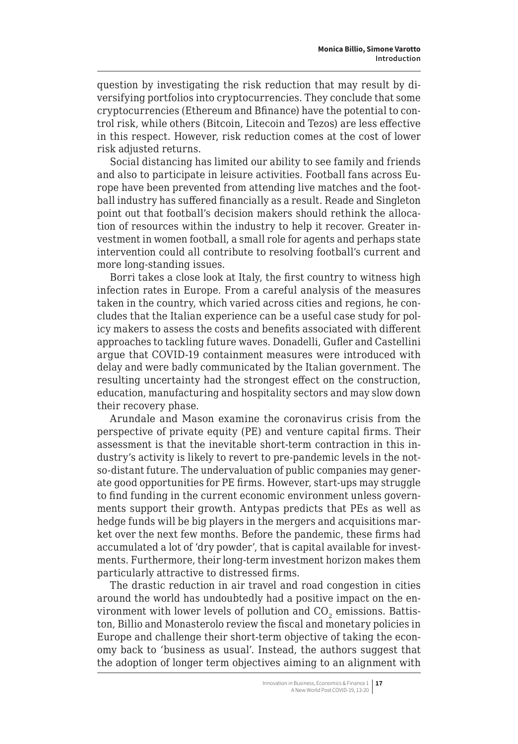question by investigating the risk reduction that may result by diversifying portfolios into cryptocurrencies. They conclude that some cryptocurrencies (Ethereum and Bfinance) have the potential to control risk, while others (Bitcoin, Litecoin and Tezos) are less effective in this respect. However, risk reduction comes at the cost of lower risk adjusted returns.

Social distancing has limited our ability to see family and friends and also to participate in leisure activities. Football fans across Europe have been prevented from attending live matches and the football industry has suffered financially as a result. Reade and Singleton point out that football's decision makers should rethink the allocation of resources within the industry to help it recover. Greater investment in women football, a small role for agents and perhaps state intervention could all contribute to resolving football's current and more long-standing issues.

Borri takes a close look at Italy, the first country to witness high infection rates in Europe. From a careful analysis of the measures taken in the country, which varied across cities and regions, he concludes that the Italian experience can be a useful case study for policy makers to assess the costs and benefits associated with different approaches to tackling future waves. Donadelli, Gufler and Castellini argue that COVID-19 containment measures were introduced with delay and were badly communicated by the Italian government. The resulting uncertainty had the strongest effect on the construction, education, manufacturing and hospitality sectors and may slow down their recovery phase.

Arundale and Mason examine the coronavirus crisis from the perspective of private equity (PE) and venture capital firms. Their assessment is that the inevitable short-term contraction in this industry's activity is likely to revert to pre-pandemic levels in the notso-distant future. The undervaluation of public companies may generate good opportunities for PE firms. However, start-ups may struggle to find funding in the current economic environment unless governments support their growth. Antypas predicts that PEs as well as hedge funds will be big players in the mergers and acquisitions market over the next few months. Before the pandemic, these firms had accumulated a lot of 'dry powder', that is capital available for investments. Furthermore, their long-term investment horizon makes them particularly attractive to distressed firms.

The drastic reduction in air travel and road congestion in cities around the world has undoubtedly had a positive impact on the environment with lower levels of pollution and  $CO<sub>2</sub>$  emissions. Battiston, Billio and Monasterolo review the fiscal and monetary policies in Europe and challenge their short-term objective of taking the economy back to 'business as usual'. Instead, the authors suggest that the adoption of longer term objectives aiming to an alignment with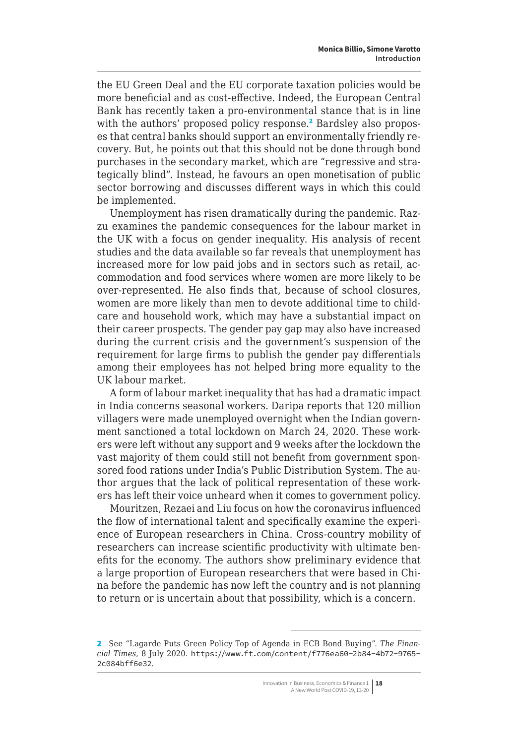the EU Green Deal and the EU corporate taxation policies would be more beneficial and as cost-effective. Indeed, the European Central Bank has recently taken a pro-environmental stance that is in line with the authors' proposed policy response.<sup>2</sup> Bardsley also proposes that central banks should support an environmentally friendly recovery. But, he points out that this should not be done through bond purchases in the secondary market, which are "regressive and strategically blind". Instead, he favours an open monetisation of public sector borrowing and discusses different ways in which this could be implemented.

Unemployment has risen dramatically during the pandemic. Razzu examines the pandemic consequences for the labour market in the UK with a focus on gender inequality. His analysis of recent studies and the data available so far reveals that unemployment has increased more for low paid jobs and in sectors such as retail, accommodation and food services where women are more likely to be over-represented. He also finds that, because of school closures, women are more likely than men to devote additional time to childcare and household work, which may have a substantial impact on their career prospects. The gender pay gap may also have increased during the current crisis and the government's suspension of the requirement for large firms to publish the gender pay differentials among their employees has not helped bring more equality to the UK labour market.

A form of labour market inequality that has had a dramatic impact in India concerns seasonal workers. Daripa reports that 120 million villagers were made unemployed overnight when the Indian government sanctioned a total lockdown on March 24, 2020. These workers were left without any support and 9 weeks after the lockdown the vast majority of them could still not benefit from government sponsored food rations under India's Public Distribution System. The author argues that the lack of political representation of these workers has left their voice unheard when it comes to government policy.

Mouritzen, Rezaei and Liu focus on how the coronavirus influenced the flow of international talent and specifically examine the experience of European researchers in China. Cross-country mobility of researchers can increase scientific productivity with ultimate benefits for the economy. The authors show preliminary evidence that a large proportion of European researchers that were based in China before the pandemic has now left the country and is not planning to return or is uncertain about that possibility, which is a concern.

<sup>2</sup> See "Lagarde Puts Green Policy Top of Agenda in ECB Bond Buying". *The Financial Times*, 8 July 2020. [https://www.ft.com/content/f776ea60-2b84-4b72-9765-](https://www.ft.com/content/f776ea60-2b84-4b72-9765-2c084bff6e32) [2c084bff6e32](https://www.ft.com/content/f776ea60-2b84-4b72-9765-2c084bff6e32).